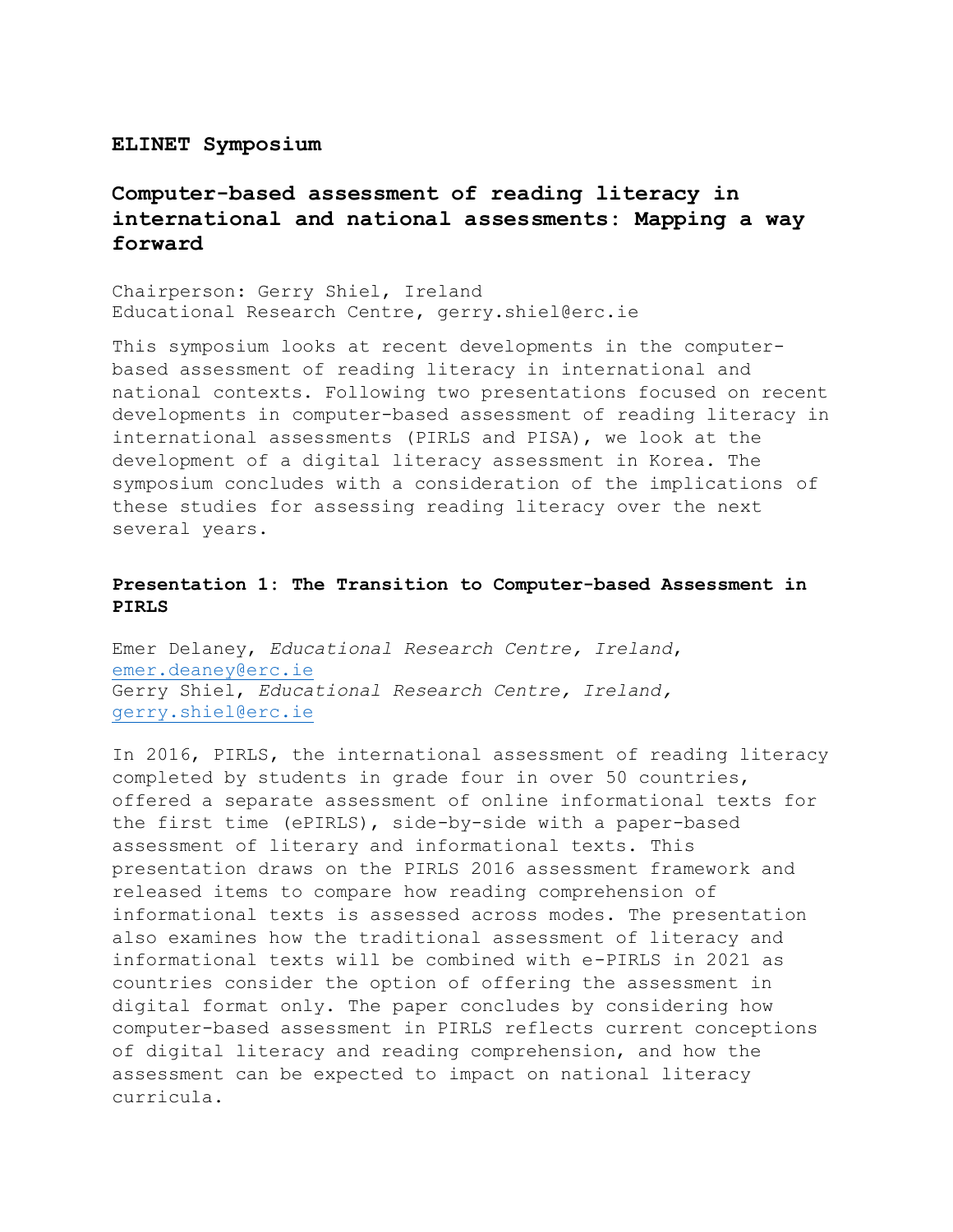#### **ELINET Symposium**

# **Computer-based assessment of reading literacy in international and national assessments: Mapping a way forward**

Chairperson: Gerry Shiel, Ireland Educational Research Centre, gerry.shiel@erc.ie

This symposium looks at recent developments in the computerbased assessment of reading literacy in international and national contexts. Following two presentations focused on recent developments in computer-based assessment of reading literacy in international assessments (PIRLS and PISA), we look at the development of a digital literacy assessment in Korea. The symposium concludes with a consideration of the implications of these studies for assessing reading literacy over the next several years.

#### **Presentation 1: The Transition to Computer-based Assessment in PIRLS**

Emer Delaney, *Educational Research Centre, Ireland*, [emer.deaney@erc.ie](mailto:emer.deaney@erc.ie) Gerry Shiel, *Educational Research Centre, Ireland,* [gerry.shiel@erc.ie](mailto:gerry.shiel@erc.ie)

In 2016, PIRLS, the international assessment of reading literacy completed by students in grade four in over 50 countries, offered a separate assessment of online informational texts for the first time (ePIRLS), side-by-side with a paper-based assessment of literary and informational texts. This presentation draws on the PIRLS 2016 assessment framework and released items to compare how reading comprehension of informational texts is assessed across modes. The presentation also examines how the traditional assessment of literacy and informational texts will be combined with e-PIRLS in 2021 as countries consider the option of offering the assessment in digital format only. The paper concludes by considering how computer-based assessment in PIRLS reflects current conceptions of digital literacy and reading comprehension, and how the assessment can be expected to impact on national literacy curricula.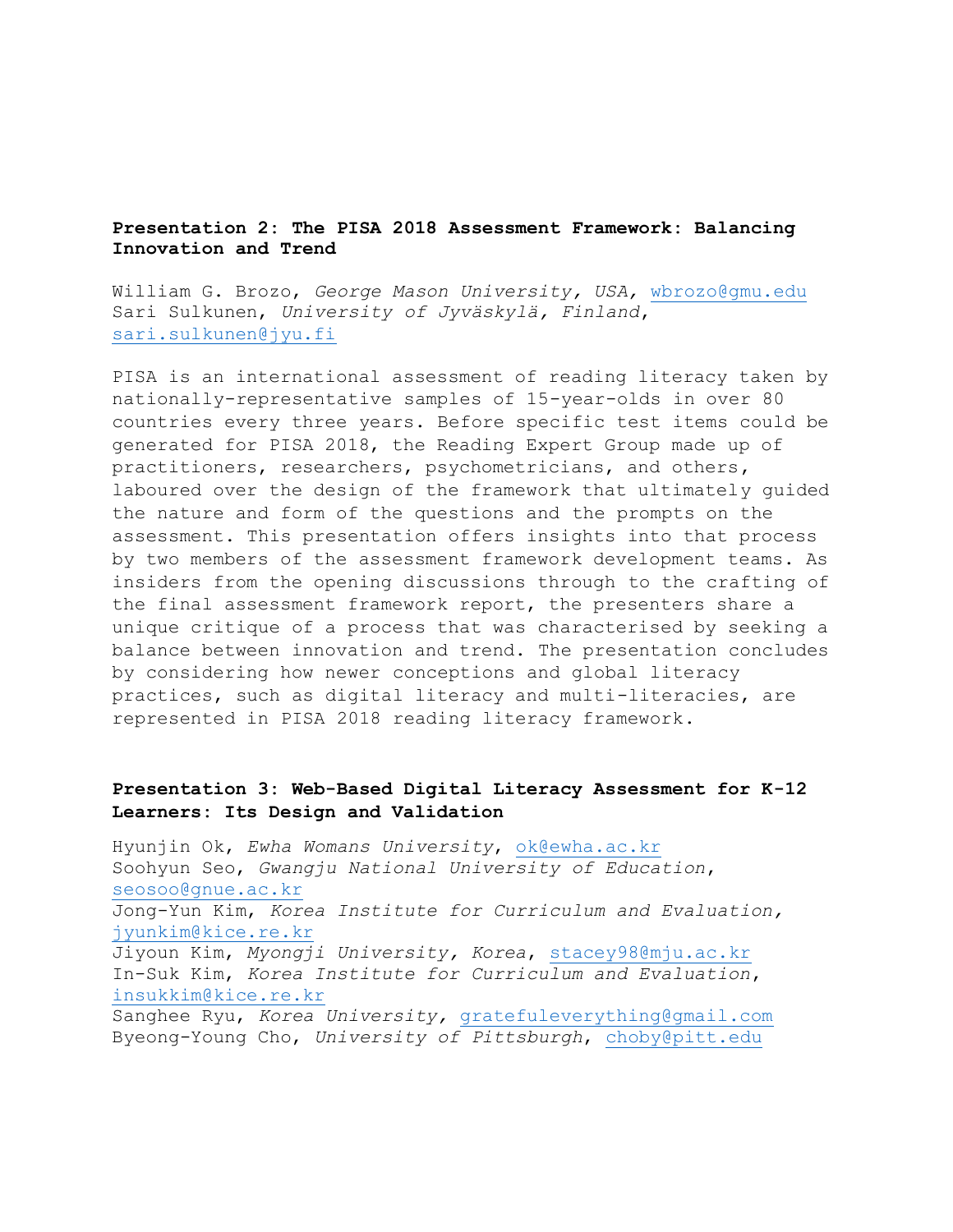### **Presentation 2: The PISA 2018 Assessment Framework: Balancing Innovation and Trend**

William G. Brozo, *George Mason University, USA,* [wbrozo@gmu.edu](mailto:wbrozo@gmu.edu) Sari Sulkunen, *University of Jyväskylä, Finland***,**  [sari.sulkunen@jyu.fi](mailto:sari.sulkunen@jyu.fi)

PISA is an international assessment of reading literacy taken by nationally-representative samples of 15-year-olds in over 80 countries every three years. Before specific test items could be generated for PISA 2018, the Reading Expert Group made up of practitioners, researchers, psychometricians, and others, laboured over the design of the framework that ultimately guided the nature and form of the questions and the prompts on the assessment. This presentation offers insights into that process by two members of the assessment framework development teams. As insiders from the opening discussions through to the crafting of the final assessment framework report, the presenters share a unique critique of a process that was characterised by seeking a balance between innovation and trend. The presentation concludes by considering how newer conceptions and global literacy practices, such as digital literacy and multi-literacies, are represented in PISA 2018 reading literacy framework.

## **Presentation 3: Web-Based Digital Literacy Assessment for K-12 Learners: Its Design and Validation**

Hyunjin Ok, *Ewha Womans University*, [ok@ewha.ac.kr](mailto:ok@ewha.ac.kr) Soohyun Seo, *Gwangju National University of Education*, [seosoo@gnue.ac.kr](mailto:seosoo@gnue.ac.kr) Jong-Yun Kim, *Korea Institute for Curriculum and Evaluation,*  [jyunkim@kice.re.kr](mailto:jyunkim@kice.re.kr) Jiyoun Kim, *Myongji University, Korea*, [stacey98@mju.ac.kr](mailto:stacey98@mju.ac.kr) In-Suk Kim, *Korea Institute for Curriculum and Evaluation*, [insukkim@kice.re.kr](mailto:insukkim@kice.re.kr) Sanghee Ryu, *Korea University,* [gratefuleverything@gmail.com](mailto:gratefuleverything@gmail.com) Byeong-Young Cho, *University of Pittsburgh*, [choby@pitt.edu](mailto:choby@pitt.edu)